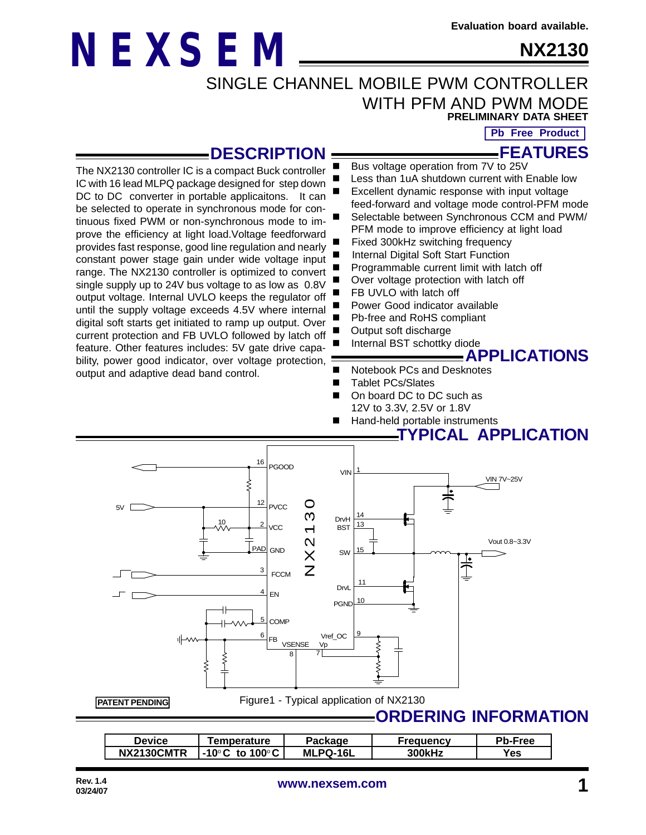**NX2130**

# **NEXSEM**

SINGLE CHANNEL MOBILE PWM CONTROLLER WITH PFM AND PWM MODE

**PRELIMINARY DATA SHEET**

**Pb Free Product**

**FEATURES**

### **DESCRIPTION**

The NX2130 controller IC is a compact Buck controller IC with 16 lead MLPQ package designed for step down DC to DC converter in portable applicaitons. It can be selected to operate in synchronous mode for continuous fixed PWM or non-synchronous mode to improve the efficiency at light load.Voltage feedforward provides fast response, good line regulation and nearly constant power stage gain under wide voltage input range. The NX2130 controller is optimized to convert single supply up to 24V bus voltage to as low as 0.8V output voltage. Internal UVLO keeps the regulator off until the supply voltage exceeds 4.5V where internal digital soft starts get initiated to ramp up output. Over current protection and FB UVLO followed by latch off feature. Other features includes: 5V gate drive capability, power good indicator, over voltage protection, output and adaptive dead band control.

- Less than 1uA shutdown current with Enable low Excellent dynamic response with input voltage feed-forward and voltage mode control-PFM mode Selectable between Synchronous CCM and PWM/ PFM mode to improve efficiency at light load
- Fixed 300kHz switching frequency
- Internal Digital Soft Start Function
- Programmable current limit with latch off

Bus voltage operation from 7V to 25V

- Over voltage protection with latch off
- FB UVLO with latch off
- Power Good indicator available
- Pb-free and RoHS compliant
- Output soft discharge
	- Internal BST schottky diode



- Notebook PCs and Desknotes
- Tablet PCs/Slates
- On board DC to DC such as 12V to 3.3V, 2.5V or 1.8V
	- Hand-held portable instruments

### **TYPICAL APPLICATION**



Figure1 - Typical application of NX2130

### **ORDERING INFORMATION**

| Device     | <b>Femperature</b>                                  | Package         | Freauencv | <b>Pb-Free</b> |
|------------|-----------------------------------------------------|-----------------|-----------|----------------|
| NX2130CMTR | $\blacksquare$ -10 $^{\circ}$ C to 100 $^{\circ}$ C | <b>MLPQ-16L</b> | 300kHz    | Yes            |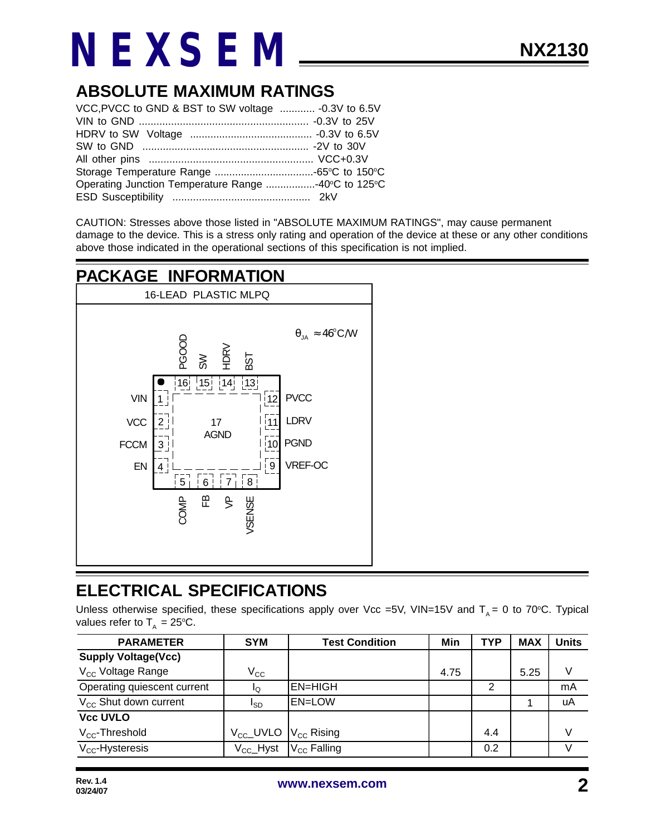### **ABSOLUTE MAXIMUM RATINGS**

| VCC, PVCC to GND & BST to SW voltage  - 0.3V to 6.5V |  |
|------------------------------------------------------|--|
|                                                      |  |
|                                                      |  |
|                                                      |  |
|                                                      |  |
|                                                      |  |
| Operating Junction Temperature Range 40°C to 125°C   |  |
|                                                      |  |

CAUTION: Stresses above those listed in "ABSOLUTE MAXIMUM RATINGS", may cause permanent damage to the device. This is a stress only rating and operation of the device at these or any other conditions above those indicated in the operational sections of this specification is not implied.

### **PACKAGE INFORMATION**



### **ELECTRICAL SPECIFICATIONS**

Unless otherwise specified, these specifications apply over Vcc =5V, VIN=15V and  $T_A = 0$  to 70°C. Typical values refer to  $T_A = 25^{\circ}C$ .

| <b>PARAMETER</b>                  | <b>SYM</b>                                     | <b>Test Condition</b> | Min  | <b>TYP</b> | <b>MAX</b> | <b>Units</b> |
|-----------------------------------|------------------------------------------------|-----------------------|------|------------|------------|--------------|
| <b>Supply Voltage(Vcc)</b>        |                                                |                       |      |            |            |              |
| V <sub>CC</sub> Voltage Range     | $\rm V_{CC}$                                   |                       | 4.75 |            | 5.25       |              |
| Operating quiescent current       | I۵                                             | <b>EN=HIGH</b>        |      |            |            | mA           |
| V <sub>cc</sub> Shut down current | I <sub>SD</sub>                                | <b>EN=LOW</b>         |      |            |            | uA           |
| <b>Vcc UVLO</b>                   |                                                |                       |      |            |            |              |
| $V_{\text{CC}}$ -Threshold        | $V_{\text{cc}}$ _UVLO $ V_{\text{cc}} $ Rising |                       |      | 4.4        |            | V            |
| $V_{\text{CC}}$ -Hysteresis       | $V_{\rm CC}$ Hyst                              | $V_{CC}$ Falling      |      | 0.2        |            |              |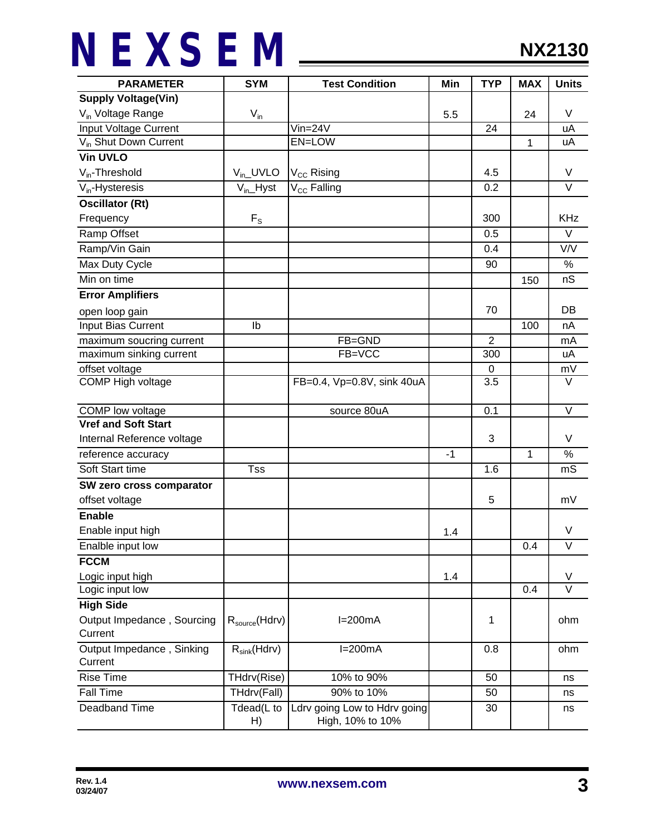| <b>PARAMETER</b>                  | <b>SYM</b>          | <b>Test Condition</b>                            | Min  | <b>TYP</b>     | <b>MAX</b> | <b>Units</b>      |
|-----------------------------------|---------------------|--------------------------------------------------|------|----------------|------------|-------------------|
| <b>Supply Voltage(Vin)</b>        |                     |                                                  |      |                |            |                   |
| V <sub>in</sub> Voltage Range     | $V_{in}$            |                                                  | 5.5  |                | 24         | V                 |
| Input Voltage Current             |                     | $V$ in=24 $V$                                    |      | 24             |            | uA                |
| V <sub>in</sub> Shut Down Current |                     | EN=LOW                                           |      |                | 1          | uA                |
| <b>Vin UVLO</b>                   |                     |                                                  |      |                |            |                   |
| $V_{in}$ -Threshold               | $V_{in}$ UVLO       | V <sub>CC</sub> Rising                           |      | 4.5            |            | V                 |
| $V_{in}$ -Hysteresis              | $V_{in}$ -Hyst      | V <sub>CC</sub> Falling                          |      | 0.2            |            | $\vee$            |
| <b>Oscillator (Rt)</b>            |                     |                                                  |      |                |            |                   |
| Frequency                         | $F_{S}$             |                                                  |      | 300            |            | KHz               |
| Ramp Offset                       |                     |                                                  |      | 0.5            |            | V                 |
| Ramp/Vin Gain                     |                     |                                                  |      | 0.4            |            | V/V               |
| Max Duty Cycle                    |                     |                                                  |      | 90             |            | $\%$              |
| Min on time                       |                     |                                                  |      |                | 150        | nS                |
| <b>Error Amplifiers</b>           |                     |                                                  |      |                |            |                   |
| open loop gain                    |                     |                                                  |      | 70             |            | DB                |
| Input Bias Current                | Ib                  |                                                  |      |                | 100        | nA                |
| maximum soucring current          |                     | FB=GND                                           |      | $\overline{2}$ |            | mA                |
| maximum sinking current           |                     | FB=VCC                                           |      | 300            |            | uA                |
| offset voltage                    |                     |                                                  |      | 0              |            | mV                |
| COMP High voltage                 |                     | FB=0.4, Vp=0.8V, sink 40uA                       |      | 3.5            |            | V                 |
| COMP low voltage                  |                     | source 80uA                                      |      | 0.1            |            | $\vee$            |
| <b>Vref and Soft Start</b>        |                     |                                                  |      |                |            |                   |
| Internal Reference voltage        |                     |                                                  |      | 3              |            | V                 |
| reference accuracy                |                     |                                                  | $-1$ |                | 1          | %                 |
| Soft Start time                   | <b>Tss</b>          |                                                  |      | 1.6            |            | mS                |
| SW zero cross comparator          |                     |                                                  |      |                |            |                   |
| offset voltage                    |                     |                                                  |      | 5              |            | mV                |
| <b>Enable</b>                     |                     |                                                  |      |                |            |                   |
| Enable input high                 |                     |                                                  | 1.4  |                |            | V                 |
| Enalble input low                 |                     |                                                  |      |                | 0.4        | $\overline{\vee}$ |
| <b>FCCM</b>                       |                     |                                                  |      |                |            |                   |
| Logic input high                  |                     |                                                  | 1.4  |                |            | V                 |
| Logic input low                   |                     |                                                  |      |                | 0.4        | $\overline{\vee}$ |
| <b>High Side</b>                  |                     |                                                  |      |                |            |                   |
| Output Impedance, Sourcing        | $R_{source}$ (Hdrv) | $I=200mA$                                        |      | 1              |            | ohm               |
| Current                           |                     |                                                  |      |                |            |                   |
| Output Impedance, Sinking         | $R_{sink}(Hdrv)$    | $I=200mA$                                        |      | 0.8            |            | ohm               |
| Current                           |                     |                                                  |      |                |            |                   |
| <b>Rise Time</b>                  | THdrv(Rise)         | 10% to 90%                                       |      | 50             |            | ns                |
| <b>Fall Time</b>                  | THdrv(Fall)         | 90% to 10%                                       |      | 50             |            | ns                |
| Deadband Time                     | Tdead(L to<br>H)    | Ldrv going Low to Hdrv going<br>High, 10% to 10% |      | 30             |            | ns                |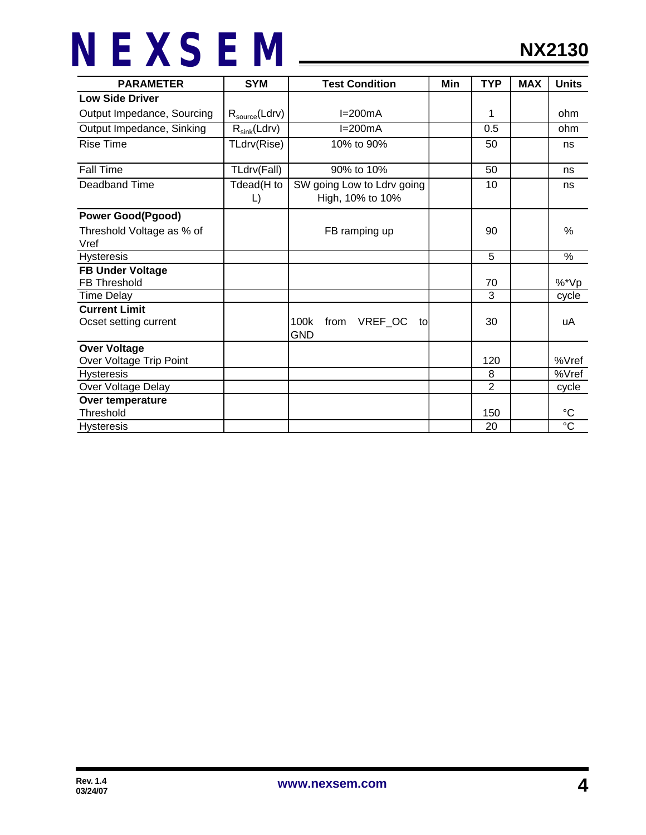| <b>PARAMETER</b>                               | <b>SYM</b><br><b>Test Condition</b> |                                                | Min | <b>TYP</b>     | <b>MAX</b> | <b>Units</b>          |
|------------------------------------------------|-------------------------------------|------------------------------------------------|-----|----------------|------------|-----------------------|
| <b>Low Side Driver</b>                         |                                     |                                                |     |                |            |                       |
| Output Impedance, Sourcing                     | $R_{\text{source}}(Ldrv)$           | $I=200mA$                                      |     | 1              |            | ohm                   |
| Output Impedance, Sinking                      | $R_{sink}(Ldrv)$                    | $I=200mA$                                      |     | 0.5            |            | ohm                   |
| <b>Rise Time</b>                               | TLdrv(Rise)                         | 10% to 90%                                     |     | 50             |            | ns                    |
| Fall Time                                      | TLdrv(Fall)                         | 90% to 10%                                     |     | 50             |            | ns                    |
| Deadband Time                                  | Tdead(H to<br>L)                    | SW going Low to Ldrv going<br>High, 10% to 10% |     | 10             |            | ns                    |
| <b>Power Good(Pgood)</b>                       |                                     |                                                |     |                |            |                       |
| Threshold Voltage as % of                      |                                     | FB ramping up                                  |     | 90             |            | %                     |
| Vref<br><b>Hysteresis</b>                      |                                     |                                                |     | 5              |            | %                     |
|                                                |                                     |                                                |     |                |            |                       |
| <b>FB Under Voltage</b><br><b>FB Threshold</b> |                                     |                                                |     | 70             |            | %*Vp                  |
| <b>Time Delay</b>                              |                                     |                                                |     | 3              |            | cycle                 |
| <b>Current Limit</b>                           |                                     |                                                |     |                |            |                       |
| Ocset setting current                          |                                     | VREF_OC<br>100k<br>from<br>to<br><b>GND</b>    |     | 30             |            | uA                    |
| <b>Over Voltage</b>                            |                                     |                                                |     |                |            |                       |
| Over Voltage Trip Point                        |                                     |                                                |     | 120            |            | %Vref                 |
| <b>Hysteresis</b>                              |                                     |                                                |     | 8              |            | %Vref                 |
| Over Voltage Delay                             |                                     |                                                |     | $\overline{2}$ |            | cycle                 |
| Over temperature                               |                                     |                                                |     |                |            |                       |
| Threshold                                      |                                     |                                                |     | 150            |            | $^{\circ}C$           |
| <b>Hysteresis</b>                              |                                     |                                                |     | 20             |            | $\overline{\text{c}}$ |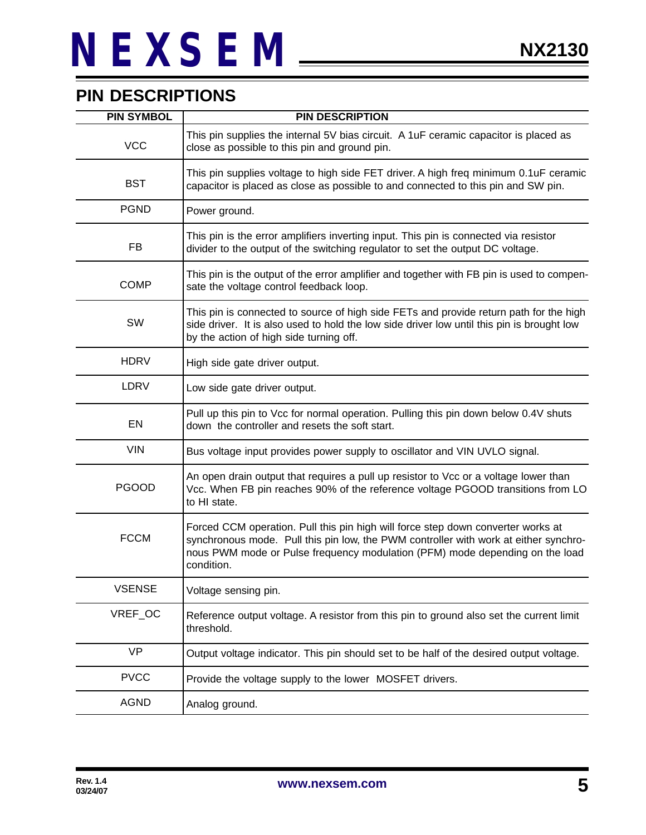### **PIN DESCRIPTIONS**

| <b>PIN SYMBOL</b> | <b>PIN DESCRIPTION</b>                                                                                                                                                                                                                                                 |
|-------------------|------------------------------------------------------------------------------------------------------------------------------------------------------------------------------------------------------------------------------------------------------------------------|
| <b>VCC</b>        | This pin supplies the internal 5V bias circuit. A 1uF ceramic capacitor is placed as<br>close as possible to this pin and ground pin.                                                                                                                                  |
| <b>BST</b>        | This pin supplies voltage to high side FET driver. A high freq minimum 0.1uF ceramic<br>capacitor is placed as close as possible to and connected to this pin and SW pin.                                                                                              |
| <b>PGND</b>       | Power ground.                                                                                                                                                                                                                                                          |
| FB                | This pin is the error amplifiers inverting input. This pin is connected via resistor<br>divider to the output of the switching regulator to set the output DC voltage.                                                                                                 |
| <b>COMP</b>       | This pin is the output of the error amplifier and together with FB pin is used to compen-<br>sate the voltage control feedback loop.                                                                                                                                   |
| SW                | This pin is connected to source of high side FETs and provide return path for the high<br>side driver. It is also used to hold the low side driver low until this pin is brought low<br>by the action of high side turning off.                                        |
| <b>HDRV</b>       | High side gate driver output.                                                                                                                                                                                                                                          |
| LDRV              | Low side gate driver output.                                                                                                                                                                                                                                           |
| <b>EN</b>         | Pull up this pin to Vcc for normal operation. Pulling this pin down below 0.4V shuts<br>down the controller and resets the soft start.                                                                                                                                 |
| <b>VIN</b>        | Bus voltage input provides power supply to oscillator and VIN UVLO signal.                                                                                                                                                                                             |
| <b>PGOOD</b>      | An open drain output that requires a pull up resistor to Vcc or a voltage lower than<br>Vcc. When FB pin reaches 90% of the reference voltage PGOOD transitions from LO<br>to HI state.                                                                                |
| <b>FCCM</b>       | Forced CCM operation. Pull this pin high will force step down converter works at<br>synchronous mode. Pull this pin low, the PWM controller with work at either synchro-<br>nous PWM mode or Pulse frequency modulation (PFM) mode depending on the load<br>condition. |
| <b>VSENSE</b>     | Voltage sensing pin.                                                                                                                                                                                                                                                   |
| VREF_OC           | Reference output voltage. A resistor from this pin to ground also set the current limit<br>threshold.                                                                                                                                                                  |
| <b>VP</b>         | Output voltage indicator. This pin should set to be half of the desired output voltage.                                                                                                                                                                                |
| <b>PVCC</b>       | Provide the voltage supply to the lower MOSFET drivers.                                                                                                                                                                                                                |
| <b>AGND</b>       | Analog ground.                                                                                                                                                                                                                                                         |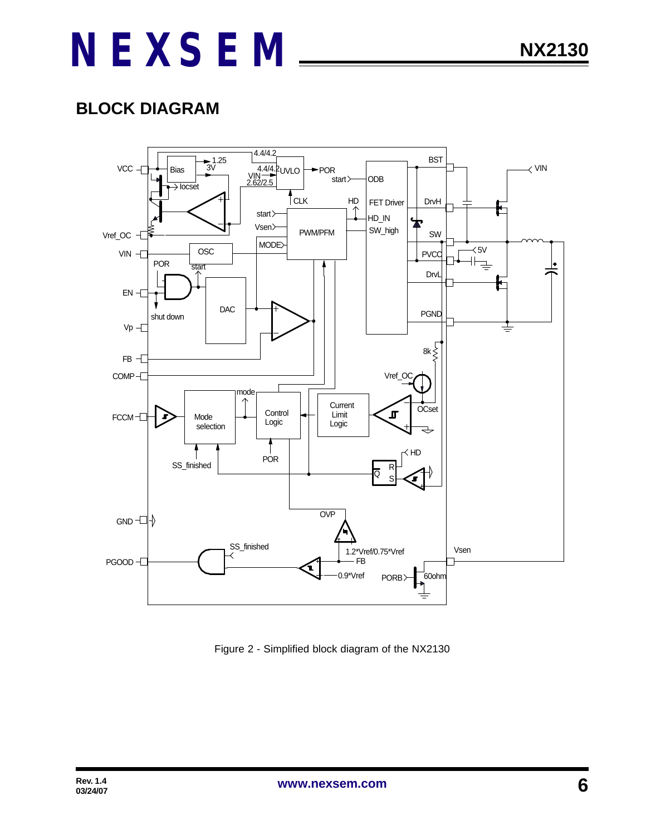### **BLOCK DIAGRAM**



Figure 2 - Simplified block diagram of the NX2130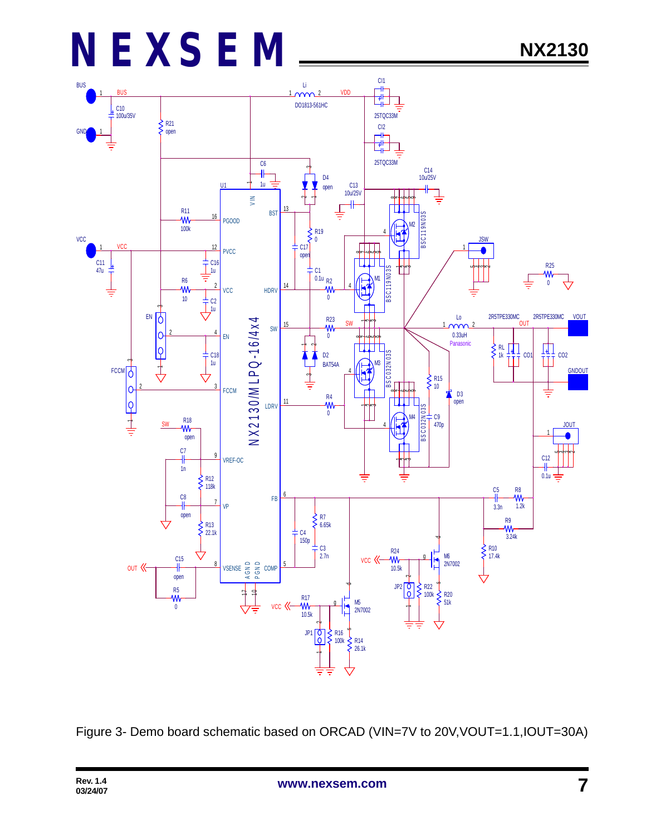

Figure 3- Demo board schematic based on ORCAD (VIN=7V to 20V,VOUT=1.1,IOUT=30A)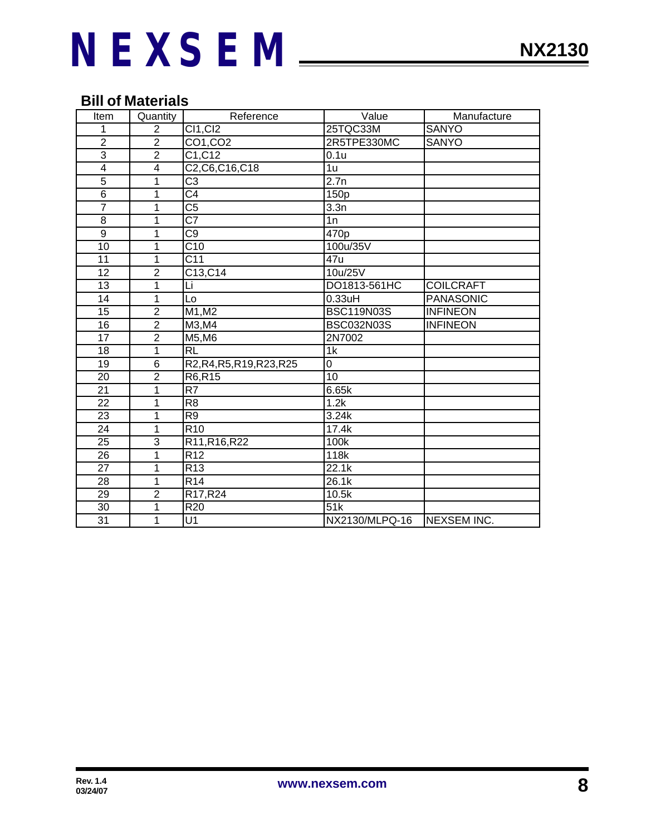### **Bill of Materials**

| Item                    | Quantity        | Reference                 | Value             | Manufacture        |
|-------------------------|-----------------|---------------------------|-------------------|--------------------|
| 1                       | $\overline{2}$  | <b>CI1, CI2</b>           | 25TQC33M          | <b>SANYO</b>       |
| $\overline{2}$          | $\overline{2}$  | CO1, CO2                  | 2R5TPE330MC       | <b>SANYO</b>       |
| $\overline{3}$          | $\overline{2}$  | C1, C12                   | 0.1u              |                    |
| $\overline{\mathbf{4}}$ | $\overline{4}$  | C2, C6, C16, C18          | $\overline{1u}$   |                    |
| 5                       | 1               | $\overline{\text{C3}}$    | 2.7n              |                    |
| $\overline{6}$          | 1               | $\overline{\text{C4}}$    | 150p              |                    |
| $\overline{7}$          | 1               | $\overline{\text{C5}}$    | 3.3n              |                    |
| 8                       | 1               | $\overline{\text{C7}}$    | $\overline{1n}$   |                    |
| $\overline{9}$          | 1               | $\overline{\text{C9}}$    | 470p              |                    |
| 10                      | 1               | C10                       | 100u/35V          |                    |
| 11                      | 1               | $\overline{C11}$          | 47u               |                    |
| 12                      | $\overline{2}$  | C13, C14                  | 10u/25V           |                    |
| 13                      | 1               | Li                        | DO1813-561HC      | <b>COILCRAFT</b>   |
| 14                      | 1               | Lo                        | 0.33uH            | <b>PANASONIC</b>   |
| 15                      | $\overline{2}$  | M1, M2                    | <b>BSC119N03S</b> | <b>INFINEON</b>    |
| 16                      | $\overline{2}$  | M3,M4                     | <b>BSC032N03S</b> | <b>INFINEON</b>    |
| $\overline{17}$         | $\overline{2}$  | $M5,\overline{M6}$        | 2N7002            |                    |
| 18                      | 1               | <b>RL</b>                 | 1k                |                    |
| 19                      | $6\phantom{1}6$ | R2, R4, R5, R19, R23, R25 | 0                 |                    |
| 20                      | $\overline{2}$  | R6, R15                   | 10                |                    |
| 21                      | 1               | R7                        | 6.65k             |                    |
| $\overline{22}$         | 1               | $\overline{R8}$           | 1.2k              |                    |
| $\overline{23}$         | $\overline{1}$  | $\overline{R9}$           | 3.24k             |                    |
| 24                      | 1               | R <sub>10</sub>           | 17.4k             |                    |
| 25                      | 3               | R11, R16, R22             | 100k              |                    |
| $\overline{26}$         | 1               | R12                       | 118k              |                    |
| 27                      | 1               | R <sub>13</sub>           | 22.1k             |                    |
| 28                      | 1               | R <sub>14</sub>           | 26.1k             |                    |
| 29                      | $\overline{2}$  | R17, R24                  | 10.5k             |                    |
| $\overline{30}$         | 1               | R20                       | 51k               |                    |
| $\overline{31}$         | 1               | $\overline{\mathsf{U}1}$  | NX2130/MLPQ-16    | <b>NEXSEM INC.</b> |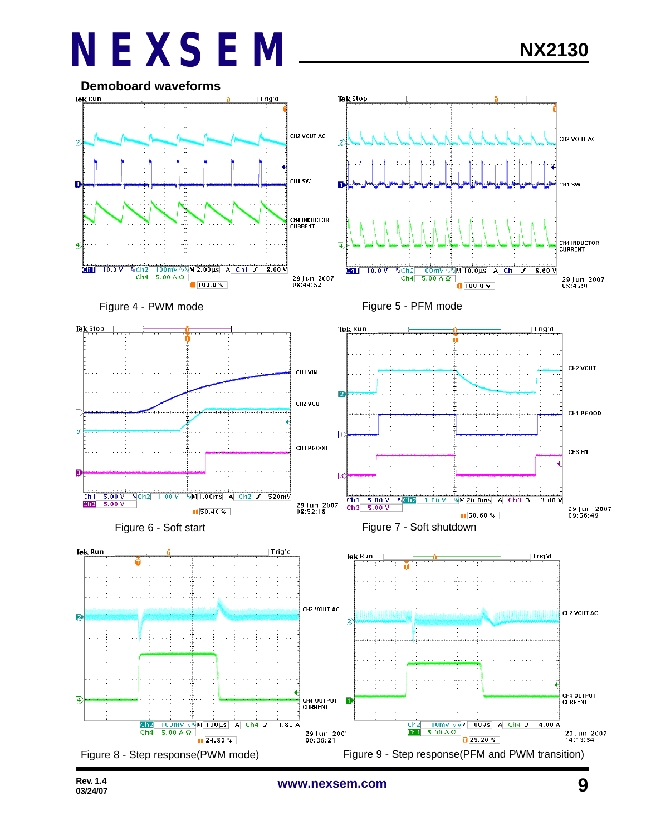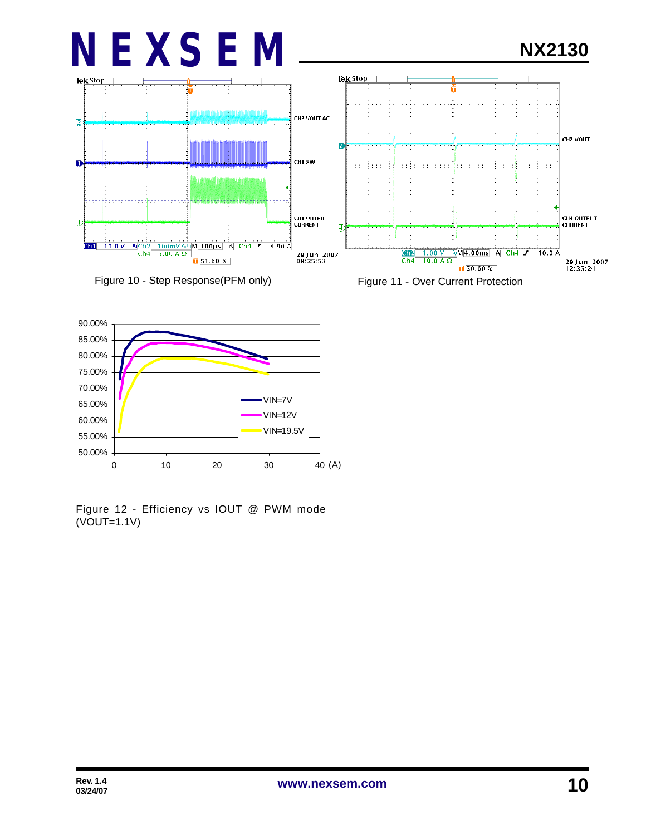





Figure 12 - Efficiency vs IOUT @ PWM mode (VOUT=1.1V)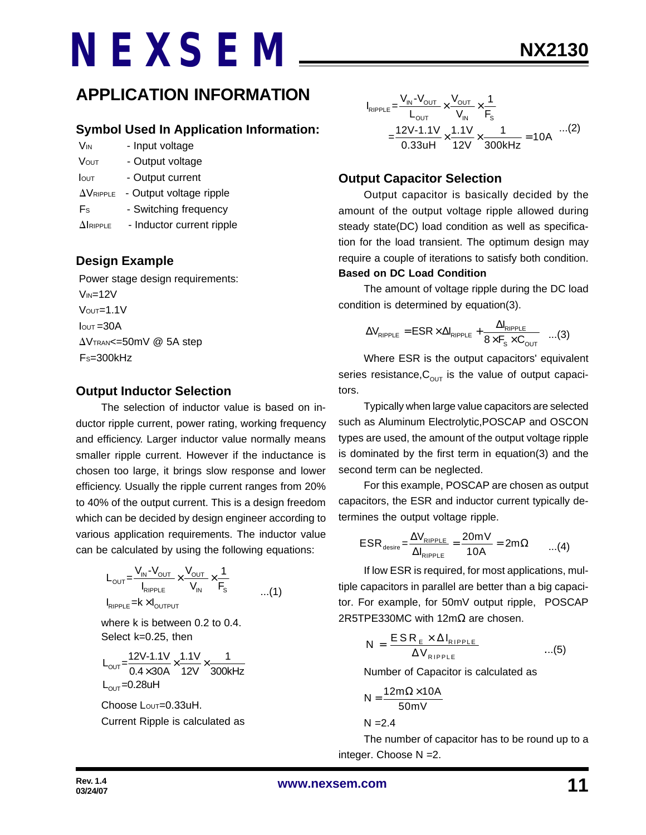### **APPLICATION INFORMATION**

#### **Symbol Used In Application Information:**

- V<sub>IN</sub> Input voltage
- VOUT Output voltage
- Iout Output current
- $\Delta V_{RIPPLE}$  Output voltage ripple
- Fs Switching frequency
- $\Delta$ IRIPPLE Inductor current ripple

#### **Design Example**

 Power stage design requirements:  $V_{IN}=12V$  $V$ <sup>OUT=1.1V</sup>  $I<sub>OUT</sub> = 30A$  $\Delta V$ TRAN<=50mV @ 5A step  $Fs = 300kHz$ 

#### **Output Inductor Selection**

The selection of inductor value is based on inductor ripple current, power rating, working frequency and efficiency. Larger inductor value normally means smaller ripple current. However if the inductance is chosen too large, it brings slow response and lower efficiency. Usually the ripple current ranges from 20% to 40% of the output current. This is a design freedom which can be decided by design engineer according to various application requirements. The inductor value can be calculated by using the following equations:

$$
L_{\text{OUT}} = \frac{V_{\text{IN}} - V_{\text{OUT}}}{I_{\text{RIPPLE}}} \times \frac{V_{\text{OUT}}}{V_{\text{IN}}} \times \frac{1}{F_{\text{S}}}
$$
...(1)

where k is between 0.2 to 0.4. Select k=0.25, then

$$
L_{\text{OUT}} = \frac{12V - 1.1V}{0.4 \times 30A} \times \frac{1.1V}{12V} \times \frac{1}{300kHz}
$$
  
L\_{\text{OUT}} = 0.28uH

Choose Lour=0.33uH. Current Ripple is calculated as

$$
I_{RIPPLE} = \frac{V_{IN} - V_{OUT}}{L_{OUT}} \times \frac{V_{OUT}}{V_{IN}} \times \frac{1}{F_s}
$$
  
= 
$$
\frac{12V - 1.1V}{0.33uH} \times \frac{1.1V}{12V} \times \frac{1}{300kHz} = 10A
$$
...(2)

### **Output Capacitor Selection**

Output capacitor is basically decided by the amount of the output voltage ripple allowed during steady state(DC) load condition as well as specification for the load transient. The optimum design may require a couple of iterations to satisfy both condition. **Based on DC Load Condition**

The amount of voltage ripple during the DC load condition is determined by equation(3).

$$
\Delta V_{\text{RIPPLE}} = \text{ESR} \times \Delta I_{\text{RIPPLE}} + \frac{\Delta I_{\text{RIPPLE}}}{8 \times F_{\text{s}} \times C_{\text{OUT}}} \quad ...(3)
$$

Where ESR is the output capacitors' equivalent series resistance,  $C_{\text{OUT}}$  is the value of output capacitors.

Typically when large value capacitors are selected such as Aluminum Electrolytic,POSCAP and OSCON types are used, the amount of the output voltage ripple is dominated by the first term in equation(3) and the second term can be neglected.

For this example, POSCAP are chosen as output capacitors, the ESR and inductor current typically determines the output voltage ripple.

$$
ESR_{\text{desire}} = \frac{\Delta V_{\text{RIPPLE}}}{\Delta I_{\text{RIPPLE}}} = \frac{20mV}{10A} = 2m\Omega \qquad ...(4)
$$

If low ESR is required, for most applications, multiple capacitors in parallel are better than a big capacitor. For example, for 50mV output ripple, POSCAP 2R5TPE330MC with 12mΩ are chosen.

$$
N = \frac{ESR_{E} \times \Delta I_{RIPPLE}}{\Delta V_{RIPPLE}} \qquad ...(5)
$$

Number of Capacitor is calculated as

$$
N = \frac{12m\Omega \times 10A}{50mV}
$$

 $N = 2.4$ 

The number of capacitor has to be round up to a integer. Choose N =2.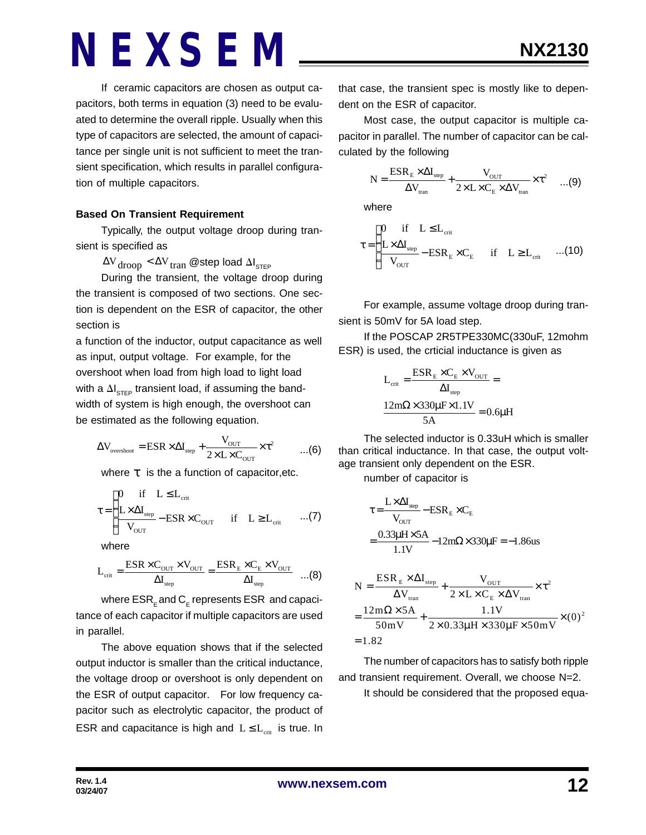If ceramic capacitors are chosen as output capacitors, both terms in equation (3) need to be evaluated to determine the overall ripple. Usually when this type of capacitors are selected, the amount of capacitance per single unit is not sufficient to meet the transient specification, which results in parallel configuration of multiple capacitors.

#### **Based On Transient Requirement**

Typically, the output voltage droop during transient is specified as

 $\Delta {\rm V}_{\rm drop}$   $<$   $\Delta {\rm V}_{\rm tran}$  @step load  $\Delta {\rm I}_{\rm STEP}$ 

During the transient, the voltage droop during the transient is composed of two sections. One section is dependent on the ESR of capacitor, the other section is

a function of the inductor, output capacitance as well as input, output voltage. For example, for the overshoot when load from high load to light load with a  $\Delta\bm{\mathsf{I}}_{\mathsf{STEP}}$  transient load, if assuming the bandwidth of system is high enough, the overshoot can be estimated as the following equation.

$$
\Delta V_{\text{overshoot}} = \text{ESR} \times \Delta I_{\text{step}} + \frac{V_{\text{OUT}}}{2 \times L \times C_{\text{OUT}}} \times \tau^2 \qquad ...(6)
$$

where *t* is the a function of capacitor,etc.

$$
\tau = \begin{cases}\n0 & \text{if} \quad L \leq L_{\text{crit}} \\
\frac{L \times \Delta I_{\text{step}}}{V_{\text{OUT}}} - \text{ESR} \times C_{\text{OUT}} & \text{if} \quad L \geq L_{\text{crit}} \quad \dots (7)\n\end{cases}
$$

where

$$
L_{\rm crit} = \frac{\rm ESR \times C_{\rm OUT} \times V_{\rm OUT}}{\Delta I_{\rm step}} = \frac{\rm ESR_{\rm E} \times C_{\rm E} \times V_{\rm OUT}}{\Delta I_{\rm step}} \quad ... (8)
$$

where  $\mathsf{ESR}_\mathsf{E}$ and  $\mathsf{C}_\mathsf{E}$  represents  $\mathsf{ESR}\,$  and capacitance of each capacitor if multiple capacitors are used in parallel.

The above equation shows that if the selected output inductor is smaller than the critical inductance, the voltage droop or overshoot is only dependent on the ESR of output capacitor. For low frequency capacitor such as electrolytic capacitor, the product of ESR and capacitance is high and  $L \le L_{crit}$  is true. In

that case, the transient spec is mostly like to dependent on the ESR of capacitor.

Most case, the output capacitor is multiple capacitor in parallel. The number of capacitor can be calculated by the following

$$
N = \frac{ESR_{E} \times \Delta I_{step}}{\Delta V_{tran}} + \frac{V_{OUT}}{2 \times L \times C_{E} \times \Delta V_{tran}} \times \tau^{2} \quad ...(9)
$$

where

$$
\tau = \begin{cases}\n0 & \text{if} \quad L \leq L_{\text{crit}} \\
\frac{L \times \Delta I_{\text{step}}}{V_{\text{OUT}}} - \text{ESR}_{\text{E}} \times C_{\text{E}} & \text{if} \quad L \geq L_{\text{crit}} \quad ...(10)\n\end{cases}
$$

For example, assume voltage droop during transient is 50mV for 5A load step.

If the POSCAP 2R5TPE330MC(330uF, 12mohm ESR) is used, the crticial inductance is given as

$$
L_{\text{crit}} = \frac{ESR_{\text{E}} \times C_{\text{E}} \times V_{\text{OUT}}}{\Delta I_{\text{step}}} =
$$

$$
\frac{12m\Omega \times 330\mu\text{F} \times 1.1V}{5\text{A}} = 0.6\mu\text{H}
$$

The selected inductor is 0.33uH which is smaller than critical inductance. In that case, the output voltage transient only dependent on the ESR.

number of capacitor is

$$
\tau = \frac{L \times \Delta I_{\text{step}}}{V_{\text{OUT}}} - ESR_{\text{E}} \times C_{\text{E}}
$$

$$
= \frac{0.33 \mu H \times 5A}{1.1 V} - 12 m\Omega \times 330 \mu F = -1.86 \text{us}
$$

$$
N = \frac{ESR_E \times \Delta I_{step}}{\Delta V_{tran}} + \frac{V_{OUT}}{2 \times L \times C_E \times \Delta V_{tran}} \times \tau^2
$$
  
= 
$$
\frac{12m\Omega \times 5A}{50mV} + \frac{1.1V}{2 \times 0.33\mu H \times 330\mu F \times 50mV} \times (0)^2
$$
  
= 1.82

The number of capacitors has to satisfy both ripple and transient requirement. Overall, we choose N=2.

It should be considered that the proposed equa-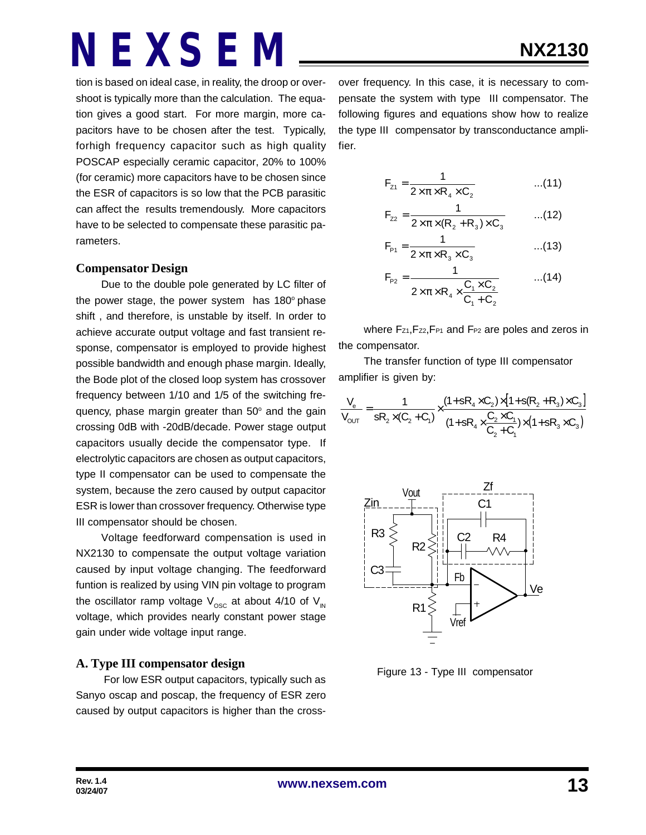tion is based on ideal case, in reality, the droop or overshoot is typically more than the calculation. The equation gives a good start. For more margin, more capacitors have to be chosen after the test. Typically, forhigh frequency capacitor such as high quality POSCAP especially ceramic capacitor, 20% to 100% (for ceramic) more capacitors have to be chosen since the ESR of capacitors is so low that the PCB parasitic can affect the results tremendously. More capacitors have to be selected to compensate these parasitic parameters.

#### **Compensator Design**

Due to the double pole generated by LC filter of the power stage, the power system has  $180^\circ$  phase shift , and therefore, is unstable by itself. In order to achieve accurate output voltage and fast transient response, compensator is employed to provide highest possible bandwidth and enough phase margin. Ideally, the Bode plot of the closed loop system has crossover frequency between 1/10 and 1/5 of the switching frequency, phase margin greater than 50° and the gain crossing 0dB with -20dB/decade. Power stage output capacitors usually decide the compensator type. If electrolytic capacitors are chosen as output capacitors, type II compensator can be used to compensate the system, because the zero caused by output capacitor ESR is lower than crossover frequency. Otherwise type III compensator should be chosen.

Voltage feedforward compensation is used in NX2130 to compensate the output voltage variation caused by input voltage changing. The feedforward funtion is realized by using VIN pin voltage to program the oscillator ramp voltage  $V_{\text{osc}}$  at about 4/10 of  $V_{\text{IN}}$ voltage, which provides nearly constant power stage gain under wide voltage input range.

#### **A. Type III compensator design**

 For low ESR output capacitors, typically such as Sanyo oscap and poscap, the frequency of ESR zero caused by output capacitors is higher than the crossover frequency. In this case, it is necessary to compensate the system with type III compensator. The following figures and equations show how to realize the type III compensator by transconductance amplifier.

$$
F_{z1} = \frac{1}{2 \times \pi \times R_4 \times C_2}
$$
...(11)

$$
F_{z2} = \frac{1}{2 \times \pi \times (R_2 + R_3) \times C_3}
$$
...(12)

$$
F_{p_1} = \frac{1}{2 \times \pi \times R_3 \times C_3}
$$
...(13)

$$
F_{P2} = \frac{1}{2 \times \pi \times R_4 \times \frac{C_1 \times C_2}{C_1 + C_2}}
$$
...(14)

where Fz1, Fz2, FP1 and FP2 are poles and zeros in the compensator.

The transfer function of type III compensator amplifier is given by:

$$
\frac{V_e}{V_{OUT}} = \frac{1}{sR_2 \times (C_2 + C_1)} \times \frac{(1 + sR_4 \times C_2) \times [1 + s(R_2 + R_3) \times C_3]}{(1 + sR_4 \times \frac{C_2 \times C_1}{C_2 + C_1}) \times (1 + sR_3 \times C_3)}
$$



Figure 13 - Type III compensator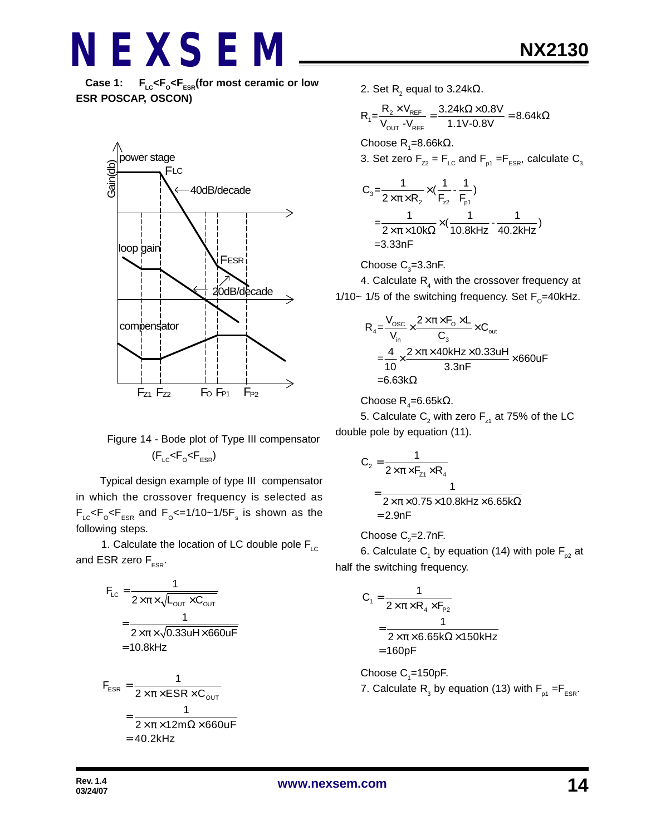**Case 1: FLC<F<sup>O</sup>**  $F_{LC}$ < $F_{C}$ < $F_{ESR}$ (for most ceramic or low **ESR POSCAP, OSCON)**



### Figure 14 - Bode plot of Type III compensator  $(F_{LC}$ < $F_{O}$ < $F_{ESR}$ )

 Typical design example of type III compensator in which the crossover frequency is selected as  $\mathsf{F}_\mathsf{LC} \mathsf{<} \mathsf{F}_\mathsf{o} \mathsf{<} \mathsf{F}_\mathsf{ESR}$  and  $\mathsf{F}_\mathsf{o} \mathsf{<} =$  1/10~1/5 $\mathsf{F}_\mathsf{s}$  is shown as the following steps.

1. Calculate the location of LC double pole  $F_{\text{LC}}$ and ESR zero  $F_{ESR}$ .

$$
F_{LC} = \frac{1}{2 \times \pi \times \sqrt{L_{OUT} \times C_{OUT}}}
$$

$$
= \frac{1}{2 \times \pi \times \sqrt{0.33uH \times 660uF}}
$$

$$
= 10.8kHz
$$

$$
F_{ESR} = \frac{1}{2 \times \pi \times ESR \times C_{OUT}}
$$

$$
= \frac{1}{2 \times \pi \times 12m\Omega \times 660uF}
$$

$$
= 40.2kHz
$$

2. Set  $\mathsf{R}_{\scriptscriptstyle 2}$  equal to 3.24k $\Omega$ .

$$
R_1 = \frac{R_2 \times V_{REF}}{V_{OUT}} = \frac{3.24 k\Omega \times 0.8 V}{1.1 V \cdot 0.8 V} = 8.64 k\Omega
$$

Choose R<sub>1</sub>=8.66kΩ.

3. Set zero 
$$
F_{zz} = F_{LC}
$$
 and  $F_{p1} = F_{ESR}$ , calculate  $C_{3}$ .

$$
C_3 = \frac{1}{2 \times \pi \times R_2} \times (\frac{1}{F_{22}} - \frac{1}{F_{p1}})
$$
  
=  $\frac{1}{2 \times \pi \times 10k\Omega} \times (\frac{1}{10.8kHz} - \frac{1}{40.2kHz})$   
= 3.33nF

Choose  $\text{C}_3$ =3.3nF.

4. Calculate  $\mathsf{R}_{\scriptscriptstyle 4}$  with the crossover frequency at 1/10~ 1/5 of the switching frequency. Set  $F_{\rm o}$ =40kHz.

$$
R_{4} = \frac{V_{\text{osc}}}{V_{\text{in}}} \times \frac{2 \times \pi \times F_{\text{o}} \times L}{C_{3}} \times C_{\text{out}}
$$
  
=  $\frac{4}{10} \times \frac{2 \times \pi \times 40 \text{kHz} \times 0.33 \text{uH}}{3.3 \text{nF}} \times 660 \text{uF}$   
= 6.63kΩ

Choose R<sub>4</sub>=6.65kΩ.

5. Calculate  $\mathsf{C}_2^{}$  with zero  $\mathsf{F}_\mathsf{z1}^{}$  at 75% of the LC double pole by equation (11).

$$
C_2 = \frac{1}{2 \times \pi \times F_{z1} \times R_4}
$$
  
= 
$$
\frac{1}{2 \times \pi \times 0.75 \times 10.8 \text{kHz} \times 6.65 \text{k}\Omega}
$$
  
= 2.9nF

Choose  $\textsf{C}_\textsf{2}^{\textsf{}}$ =2.7nF.

6. Calculate  $\mathsf{C}_1^{}$  by equation (14) with pole  $\mathsf{F}_{_{\sf p2}}^{}$  at half the switching frequency.

$$
C_1 = \frac{1}{2 \times \pi \times R_4 \times F_{P2}}
$$
  
= 
$$
\frac{1}{2 \times \pi \times 6.65 \times \Omega \times 150 \text{ kHz}}
$$
  
= 160pF

Choose  $\mathrm{C}_\text{\tiny{1}}$ =150pF. 7. Calculate  $\mathsf{R}_{_{\mathrm{3}}}$  by equation (13) with  $\mathsf{F}_{_{\mathsf{p1}}}$  = $\mathsf{F}_{_{\mathsf{ESR}}}$ .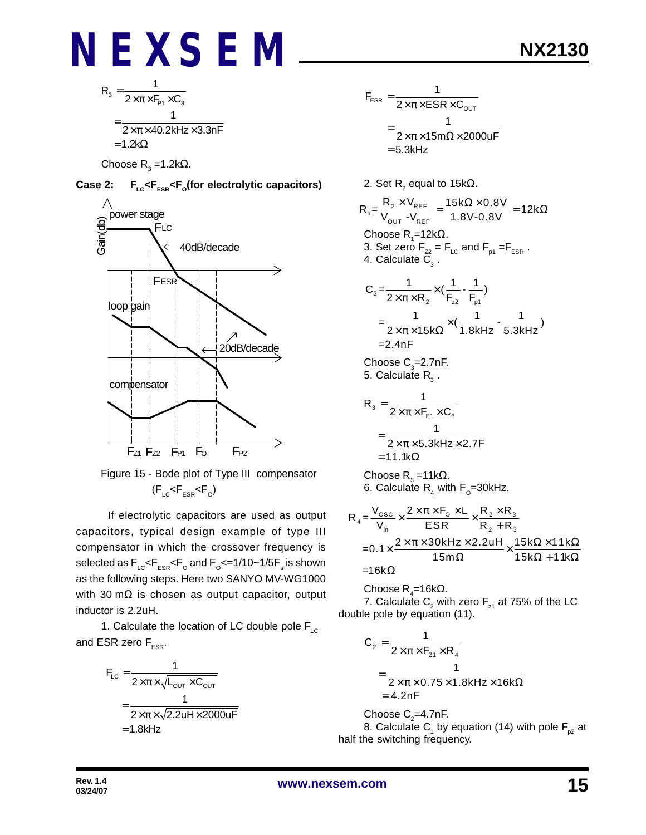$$
R_{3} = \frac{1}{2 \times \pi \times F_{P1} \times C_{3}}
$$
  
= 
$$
\frac{1}{2 \times \pi \times 40.2 \text{kHz} \times 3.3 \text{nF}}
$$
  
= 1.2k $\Omega$ 

Choose R<sub>3</sub> =1.2kΩ.







 If electrolytic capacitors are used as output capacitors, typical design example of type III compensator in which the crossover frequency is selected as  $\mathsf{F_{\scriptscriptstyle{LC}}}$ < $\mathsf{F_{\scriptscriptstyle{ESR}}}$ < $\mathsf{F_{\scriptscriptstyle{O}}}$  and  $\mathsf{F_{\scriptscriptstyle{O}}}$ <=1/10~1/5 $\mathsf{F_{\scriptscriptstyle{s}}}$  is shown as the following steps. Here two SANYO MV-WG1000 with 30 mΩ is chosen as output capacitor, output inductor is 2.2uH.

1. Calculate the location of LC double pole  $F_{\text{LC}}$ and ESR zero  $F_{ESR}$ .

$$
F_{LC} = \frac{1}{2 \times \pi \times \sqrt{L_{OUT} \times C_{OUT}}}
$$

$$
= \frac{1}{2 \times \pi \times \sqrt{2.2uH \times 2000uF}}
$$

$$
= 1.8kHz
$$

$$
F_{ESR} = \frac{1}{2 \times \pi \times ESR \times C_{OUT}}
$$

$$
= \frac{1}{2 \times \pi \times 15 \text{m}\Omega \times 2000 \text{uF}}
$$

$$
= 5.3 \text{kHz}
$$

2. Set R $_{\textrm{2}}$  equal to 15k $\Omega$ .

$$
R_{1} = \frac{R_{2} \times V_{REF}}{V_{OUT} - V_{REF}} = \frac{15k\Omega \times 0.8V}{1.8V - 0.8V} = 12k\Omega
$$
  
Choose R<sub>1</sub>=12k $\Omega$ .  
3. Set zero F<sub>zz</sub> = F<sub>LC</sub> and F<sub>p1</sub> = F<sub>ESR</sub>.  
4. Calculate C<sub>3</sub>.

$$
C_3 = \frac{1}{2 \times \pi \times R_2} \times (\frac{1}{F_{22}} - \frac{1}{F_{p1}})
$$
  
=  $\frac{1}{2 \times \pi \times 15k\Omega} \times (\frac{1}{1.8kHz} - \frac{1}{5.3kHz})$   
= 2.4nF

Choose  $\mathsf{C}_3$ =2.7nF. 5. Calculate  $\mathsf{R}_{_{3}}$  .

$$
R_{3} = \frac{1}{2 \times \pi \times F_{P1} \times C_{3}}
$$

$$
= \frac{1}{2 \times \pi \times 5.3 \text{kHz} \times 2.7 \text{F}}
$$

$$
= 11.1 \text{k}\Omega
$$

Choose R $_{_3}$  =11kΩ. 6. Calculate  $\mathsf{R}_{\scriptscriptstyle{4}}$  with  $\mathsf{F}_{\scriptscriptstyle{\text{O}}}$ =30kHz.

$$
R_4 = \frac{V_{\text{osc}}}{V_{\text{in}}} \times \frac{2 \times \pi \times F_0 \times L}{ESR} \times \frac{R_2 \times R_3}{R_2 + R_3}
$$
  
= 0.1 $\times \frac{2 \times \pi \times 30 \text{kHz} \times 2.2 \text{uH}}{15 \text{m}\Omega} \times \frac{15 \text{k}\Omega \times 11 \text{k}\Omega}{15 \text{k}\Omega + 11 \text{k}\Omega}= 16 \text{k}\Omega$ 

Choose R<sub>4</sub>=16kΩ.

7. Calculate  $\mathsf{C}_2^{}$  with zero  $\mathsf{F}_{\mathsf{z}^{\mathsf{1}}}$  at 75% of the LC double pole by equation (11).

$$
C_2 = \frac{1}{2 \times \pi \times F_{z1} \times R_4}
$$
  
= 
$$
\frac{1}{2 \times \pi \times 0.75 \times 1.8 \text{ kHz} \times 16 \text{k}\Omega}
$$
  
= 4.2nF

Choose  $\textsf{C}_\textsf{2}$ =4.7nF. 8. Calculate  $\mathsf{C}_1^{}$  by equation (14) with pole  $\mathsf{F}_{_{\sf p2}}^{}$  at half the switching frequency.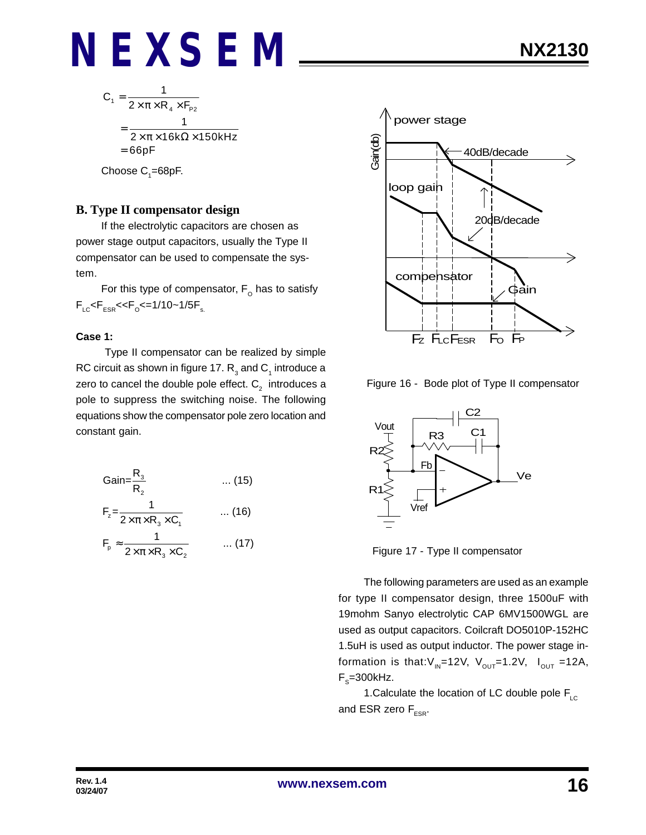$$
C_1 = \frac{1}{2 \times \pi \times R_4 \times F_{P2}}
$$
  
= 
$$
\frac{1}{2 \times \pi \times 16k\Omega \times 150kHz}
$$
  
= 66pF

Choose  $\mathsf{C}_\text{\tiny{1}}$ =68pF.

#### **B. Type II compensator design**

If the electrolytic capacitors are chosen as power stage output capacitors, usually the Type II compensator can be used to compensate the system.

For this type of compensator,  $\mathsf{F}_\mathsf{O}$  has to satisfy  $\mathsf{F}_{\text{\tiny{LC}}}$ < $\mathsf{F}_{\text{\tiny{ESR}}}$ << $\mathsf{F}_{\text{\tiny{O}}}$ <=1/10~1/5 $\mathsf{F}_{\text{\tiny{s.}}}$ 

#### **Case 1:**

 Type II compensator can be realized by simple RC circuit as shown in figure 17.  $\mathsf{R}_{_3}$  and  $\mathsf{C}_{_1}$  introduce a zero to cancel the double pole effect.  $\mathtt{C}_2^{}$  introduces a pole to suppress the switching noise. The following equations show the compensator pole zero location and constant gain.

$$
Gain = \frac{R_3}{R_2} \qquad \dots (15)
$$
  
\n
$$
F_z = \frac{1}{2 \times \pi \times R_3 \times C_1} \qquad \dots (16)
$$
  
\n
$$
F_p \approx \frac{1}{2 \times \pi \times R_3 \times C_2} \qquad \dots (17)
$$



Figure 16 - Bode plot of Type II compensator



Figure 17 - Type II compensator

The following parameters are used as an example for type II compensator design, three 1500uF with 19mohm Sanyo electrolytic CAP 6MV1500WGL are used as output capacitors. Coilcraft DO5010P-152HC 1.5uH is used as output inductor. The power stage information is that: $V_{IN}$ =12V,  $V_{OUT}$ =1.2V,  $I_{OUT}$ =12A,  $\mathsf{F}_\text{s}$ =300kHz.

1. Calculate the location of LC double pole  $F_{\text{LC}}$ and ESR zero  $F_{ESP}$ .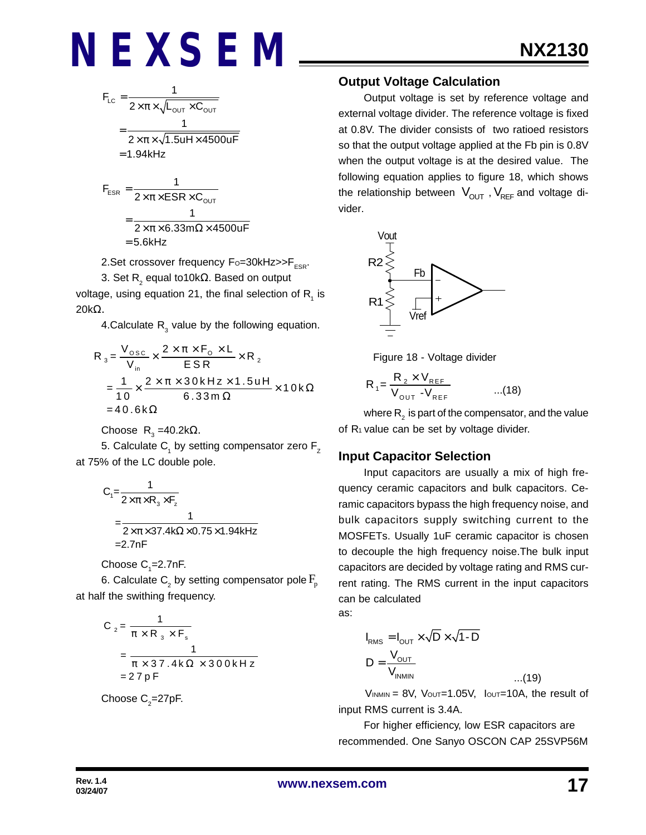$$
F_{LC} = \frac{1}{2 \times \pi \times \sqrt{L_{OUT} \times C_{OUT}}}
$$
  
= 
$$
\frac{1}{2 \times \pi \times \sqrt{1.5uH \times 4500uF}}
$$
  
= 1.94kHz  

$$
F_{ESR} = \frac{1}{2 \times \pi \times ESR \times C_{OUT}}
$$
  
= 
$$
\frac{1}{2 \times \pi \times 6.33m\Omega \times 4500uF}
$$

$$
= 5.6 \text{kHz}
$$

2. Set crossover frequency  $F_0 = 30$ kHz $>>F_{ESR}$ .

3. Set R $_{_2}$  equal to10k $\Omega$ . Based on output voltage, using equation 21, the final selection of  $\mathsf{R}^{\vphantom{\dagger}}_1$  is 20kΩ.

4. Calculate  $R_3$  value by the following equation.

$$
R_3 = \frac{V_{\text{osc}}}{V_{\text{in}}} \times \frac{2 \times \pi \times F_0 \times L}{ESR} \times R_2
$$
  
=  $\frac{1}{10} \times \frac{2 \times \pi \times 30 \text{ kHz} \times 1.5 \text{ uH}}{6.33 \text{ m}\Omega} \times 10 \text{ k}\Omega$   
= 40.6 k $\Omega$ 

Choose R<sub>3</sub>=40.2kΩ.

5. Calculate  $\mathsf{C}_\mathsf{1}$  by setting compensator zero  $\mathsf{F}_\mathsf{Z}$ at 75% of the LC double pole.

$$
C_1 = \frac{1}{2 \times \pi \times R_3 \times F_z}
$$
  
= 
$$
\frac{1}{2 \times \pi \times 37.4 \text{k}\Omega \times 0.75 \times 1.94 \text{kHz}}
$$
  
= 2.7nF

Choose  $C_{1}$ =2.7nF.

6. Calculate  $\mathsf{C}_\textsf{2}$  by setting compensator pole  $\mathrm{F}_{\textsf{p}}$ at half the swithing frequency.

$$
C_2 = \frac{1}{\pi \times R_3 \times F_s}
$$
  
= 
$$
\frac{1}{\pi \times 37.4 \text{ k}\Omega \times 300 \text{ kHz}}
$$
  
= 27 pF

Choose  $\textsf{C}_\textsf{2}^{\textsf{}}$ =27pF.

#### **Output Voltage Calculation**

Output voltage is set by reference voltage and external voltage divider. The reference voltage is fixed at 0.8V. The divider consists of two ratioed resistors so that the output voltage applied at the Fb pin is 0.8V when the output voltage is at the desired value. The following equation applies to figure 18, which shows the relationship between  $V_{\text{OUT}}$ ,  $V_{\text{REF}}$  and voltage divider.



Figure 18 - Voltage divider

$$
R_{1} = \frac{R_{2} \times V_{REF}}{V_{OUT} - V_{REF}} \qquad ...(18)
$$

where  $\mathsf{R}_{_2}$  is part of the compensator, and the value of R<sub>1</sub> value can be set by voltage divider.

#### **Input Capacitor Selection**

Input capacitors are usually a mix of high frequency ceramic capacitors and bulk capacitors. Ceramic capacitors bypass the high frequency noise, and bulk capacitors supply switching current to the MOSFETs. Usually 1uF ceramic capacitor is chosen to decouple the high frequency noise.The bulk input capacitors are decided by voltage rating and RMS current rating. The RMS current in the input capacitors can be calculated

as:

$$
I_{RMS} = I_{OUT} \times \sqrt{D} \times \sqrt{1 - D}
$$
  

$$
D = \frac{V_{OUT}}{V_{INMIN}}
$$
...(19)

 $V_{INMIN} = 8V$ ,  $V_{OUT} = 1.05V$ ,  $I_{OUT} = 10A$ , the result of input RMS current is 3.4A.

For higher efficiency, low ESR capacitors are recommended. One Sanyo OSCON CAP 25SVP56M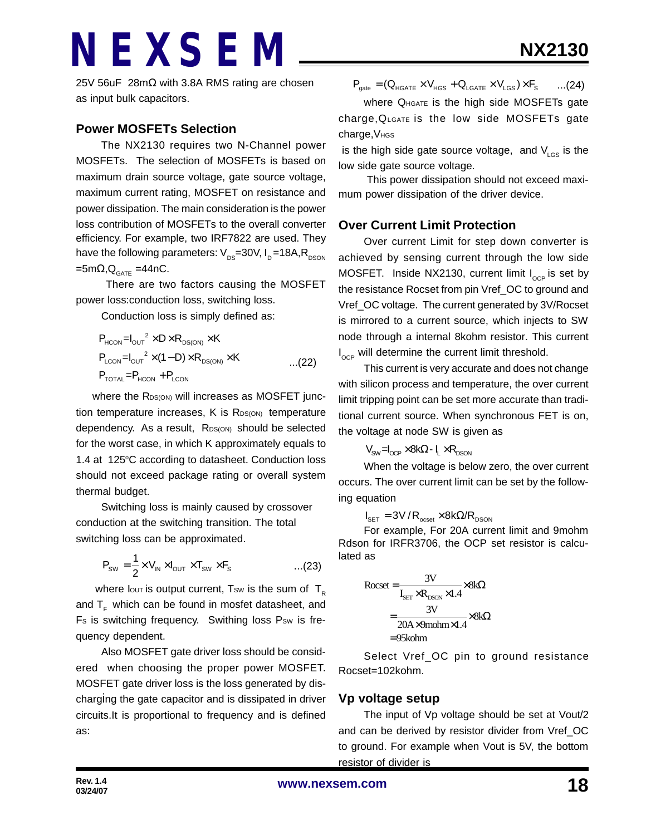25V 56uF 28mΩ with 3.8A RMS rating are chosen as input bulk capacitors.

#### **Power MOSFETs Selection**

The NX2130 requires two N-Channel power MOSFETs. The selection of MOSFETs is based on maximum drain source voltage, gate source voltage, maximum current rating, MOSFET on resistance and power dissipation. The main consideration is the power loss contribution of MOSFETs to the overall converter efficiency. For example, two IRF7822 are used. They have the following parameters:  $V_{DS}=30V$ ,  $I_{D}=18A$ , R<sub>DSON</sub>  $=5 \text{m}\Omega$ , $\text{Q}_{\text{GATE}} = 44 \text{nC}$ .

 There are two factors causing the MOSFET power loss:conduction loss, switching loss.

Conduction loss is simply defined as:

$$
P_{HCON} = I_{OUT}^2 \times D \times R_{DS(ON)} \times K
$$
  
\n
$$
P_{LCDN} = I_{OUT}^2 \times (1 - D) \times R_{DS(ON)} \times K
$$
...(22)  
\n
$$
P_{TOTAL} = P_{HCON} + P_{LCDN}
$$

where the RDS(ON) will increases as MOSFET junction temperature increases,  $K$  is  $R_{DS(ON)}$  temperature dependency. As a result, RDS(ON) should be selected for the worst case, in which K approximately equals to 1.4 at 125°C according to datasheet. Conduction loss should not exceed package rating or overall system thermal budget.

Switching loss is mainly caused by crossover conduction at the switching transition. The total switching loss can be approximated.

$$
P_{\text{SW}} = \frac{1}{2} \times V_{\text{IN}} \times I_{\text{OUT}} \times T_{\text{SW}} \times F_{\text{s}}
$$
...(23)

where lout is output current, Tsw is the sum of  $T_R$ and  $T_F$  which can be found in mosfet datasheet, and Fs is switching frequency. Swithing loss Psw is frequency dependent.

Also MOSFET gate driver loss should be considered when choosing the proper power MOSFET. MOSFET gate driver loss is the loss generated by discharging the gate capacitor and is dissipated in driver circuits.It is proportional to frequency and is defined as:

$$
\boldsymbol{P}_{\text{gate}} = (\boldsymbol{Q}_{\text{HGATE}} \times \boldsymbol{V}_{\text{HGS}} + \boldsymbol{Q}_{\text{LGATE}} \times \boldsymbol{V}_{\text{LGS}}) \times \boldsymbol{F}_{\text{S}} \qquad ... (24)
$$

Where Q<sub>HGATE</sub> is the high side MOSFETs gate charge,QLGATE is the low side MOSFETs gate charge, V<sub>HGS</sub>

is the high side gate source voltage, and  $V_{\text{LGS}}$  is the low side gate source voltage.

 This power dissipation should not exceed maximum power dissipation of the driver device.

#### **Over Current Limit Protection**

Over current Limit for step down converter is achieved by sensing current through the low side MOSFET. Inside NX2130, current limit  $I_{\text{OCP}}$  is set by the resistance Rocset from pin Vref\_OC to ground and Vref\_OC voltage. The current generated by 3V/Rocset is mirrored to a current source, which injects to SW node through a internal 8kohm resistor. This current  $I_{\rm oce}$  will determine the current limit threshold.

This current is very accurate and does not change with silicon process and temperature, the over current limit tripping point can be set more accurate than traditional current source. When synchronous FET is on, the voltage at node SW is given as

$$
V_{SW} = I_{OCP} \times 8k\Omega - I_L \times R_{DSON}
$$

When the voltage is below zero, the over current occurs. The over current limit can be set by the following equation

 $I_{\text{SET}} = 3V / R_{\text{osset}} \times 8k\Omega/R_{\text{DSON}}$ 

For example, For 20A current limit and 9mohm Rdson for IRFR3706, the OCP set resistor is calculated as

$$
Rocset = \frac{3V}{I_{SET} \times R_{DSON} \times 1.4} \times 8kΩ
$$

$$
= \frac{3V}{20A \times 9 \text{molm} \times 1.4} \times 8kΩ
$$

$$
= 95 \text{kohm}
$$

Select Vref\_OC pin to ground resistance Rocset=102kohm.

#### **Vp voltage setup**

The input of Vp voltage should be set at Vout/2 and can be derived by resistor divider from Vref\_OC to ground. For example when Vout is 5V, the bottom resistor of divider is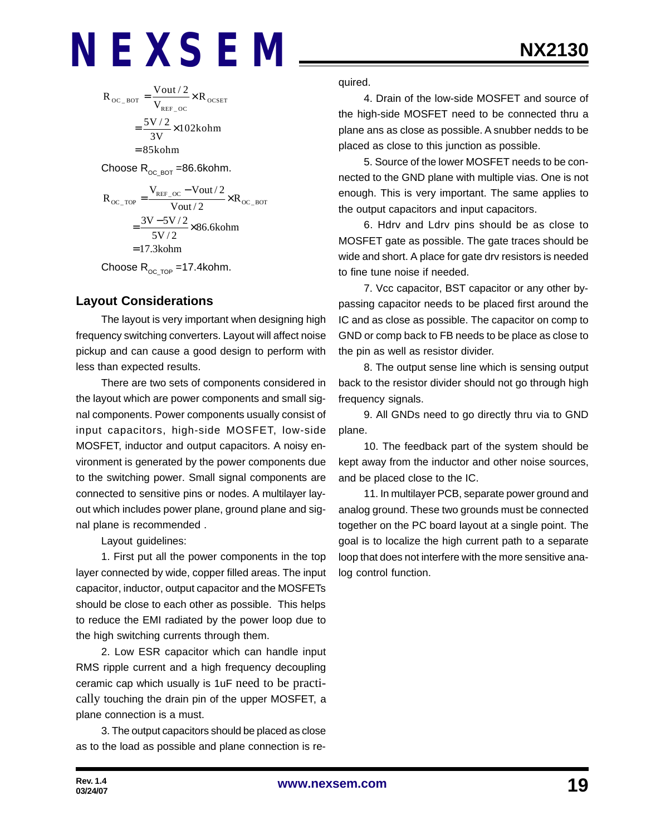$$
R_{\text{OC\_BOT}} = \frac{V_{\text{out}}/2}{V_{\text{REF\_OC}}} \times R_{\text{OCSET}}
$$

$$
= \frac{5V/2}{3V} \times 102 \text{kohm}
$$

$$
= 85 \text{kohm}
$$

Choose  $R_{OC-BOT}$  =86.6kohm.

$$
R_{\text{OC\_TOP}} = \frac{V_{\text{REF\_OC}} - \text{Vout}/2}{\text{Vout}/2} \times R_{\text{OC\_BOT}}
$$

$$
= \frac{3V - 5V/2}{5V/2} \times 86.6 \text{kohn}
$$

$$
= 17.3 \text{kohn}
$$

Choose  $R_{OCTOP}$  =17.4kohm.

#### **Layout Considerations**

The layout is very important when designing high frequency switching converters. Layout will affect noise pickup and can cause a good design to perform with less than expected results.

There are two sets of components considered in the layout which are power components and small signal components. Power components usually consist of input capacitors, high-side MOSFET, low-side MOSFET, inductor and output capacitors. A noisy environment is generated by the power components due to the switching power. Small signal components are connected to sensitive pins or nodes. A multilayer layout which includes power plane, ground plane and signal plane is recommended .

Layout guidelines:

1. First put all the power components in the top layer connected by wide, copper filled areas. The input capacitor, inductor, output capacitor and the MOSFETs should be close to each other as possible. This helps to reduce the EMI radiated by the power loop due to the high switching currents through them.

2. Low ESR capacitor which can handle input RMS ripple current and a high frequency decoupling ceramic cap which usually is 1uF need to be practically touching the drain pin of the upper MOSFET, a plane connection is a must.

3. The output capacitors should be placed as close as to the load as possible and plane connection is required.

4. Drain of the low-side MOSFET and source of the high-side MOSFET need to be connected thru a plane ans as close as possible. A snubber nedds to be placed as close to this junction as possible.

5. Source of the lower MOSFET needs to be connected to the GND plane with multiple vias. One is not enough. This is very important. The same applies to the output capacitors and input capacitors.

6. Hdrv and Ldrv pins should be as close to MOSFET gate as possible. The gate traces should be wide and short. A place for gate drv resistors is needed to fine tune noise if needed.

7. Vcc capacitor, BST capacitor or any other bypassing capacitor needs to be placed first around the IC and as close as possible. The capacitor on comp to GND or comp back to FB needs to be place as close to the pin as well as resistor divider.

8. The output sense line which is sensing output back to the resistor divider should not go through high frequency signals.

9. All GNDs need to go directly thru via to GND plane.

10. The feedback part of the system should be kept away from the inductor and other noise sources, and be placed close to the IC.

11. In multilayer PCB, separate power ground and analog ground. These two grounds must be connected together on the PC board layout at a single point. The goal is to localize the high current path to a separate loop that does not interfere with the more sensitive analog control function.